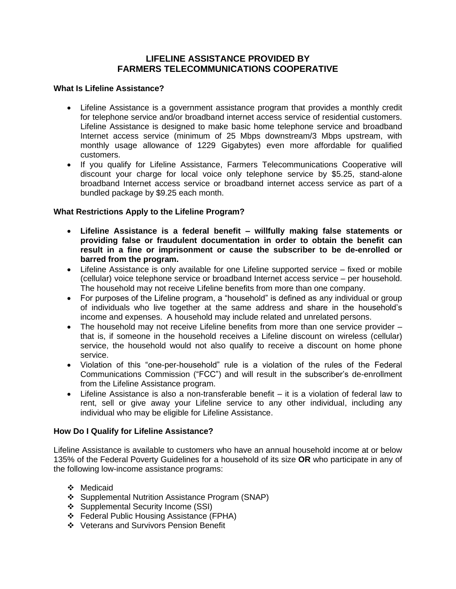# **LIFELINE ASSISTANCE PROVIDED BY FARMERS TELECOMMUNICATIONS COOPERATIVE**

### **What Is Lifeline Assistance?**

- Lifeline Assistance is a government assistance program that provides a monthly credit for telephone service and/or broadband internet access service of residential customers. Lifeline Assistance is designed to make basic home telephone service and broadband Internet access service (minimum of 25 Mbps downstream/3 Mbps upstream, with monthly usage allowance of 1229 Gigabytes) even more affordable for qualified customers.
- If you qualify for Lifeline Assistance, Farmers Telecommunications Cooperative will discount your charge for local voice only telephone service by \$5.25, stand-alone broadband Internet access service or broadband internet access service as part of a bundled package by \$9.25 each month.

## **What Restrictions Apply to the Lifeline Program?**

- **Lifeline Assistance is a federal benefit – willfully making false statements or providing false or fraudulent documentation in order to obtain the benefit can result in a fine or imprisonment or cause the subscriber to be de-enrolled or barred from the program.**
- Lifeline Assistance is only available for one Lifeline supported service fixed or mobile (cellular) voice telephone service or broadband Internet access service – per household. The household may not receive Lifeline benefits from more than one company.
- For purposes of the Lifeline program, a "household" is defined as any individual or group of individuals who live together at the same address and share in the household's income and expenses. A household may include related and unrelated persons.
- The household may not receive Lifeline benefits from more than one service provider that is, if someone in the household receives a Lifeline discount on wireless (cellular) service, the household would not also qualify to receive a discount on home phone service.
- Violation of this "one-per-household" rule is a violation of the rules of the Federal Communications Commission ("FCC") and will result in the subscriber's de-enrollment from the Lifeline Assistance program.
- Lifeline Assistance is also a non-transferable benefit it is a violation of federal law to rent, sell or give away your Lifeline service to any other individual, including any individual who may be eligible for Lifeline Assistance.

## **How Do I Qualify for Lifeline Assistance?**

Lifeline Assistance is available to customers who have an annual household income at or below 135% of the Federal Poverty Guidelines for a household of its size **OR** who participate in any of the following low-income assistance programs:

- ❖ Medicaid
- ❖ Supplemental Nutrition Assistance Program (SNAP)
- ❖ Supplemental Security Income (SSI)
- ❖ Federal Public Housing Assistance (FPHA)
- ❖ Veterans and Survivors Pension Benefit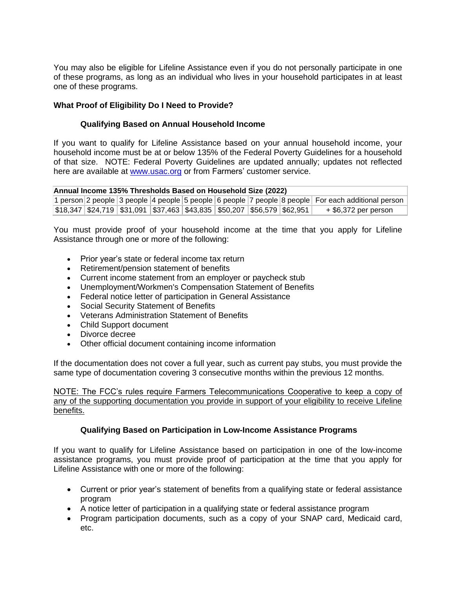You may also be eligible for Lifeline Assistance even if you do not personally participate in one of these programs, as long as an individual who lives in your household participates in at least one of these programs.

### **What Proof of Eligibility Do I Need to Provide?**

### **Qualifying Based on Annual Household Income**

If you want to qualify for Lifeline Assistance based on your annual household income, your household income must be at or below 135% of the Federal Poverty Guidelines for a household of that size. NOTE: Federal Poverty Guidelines are updated annually; updates not reflected here are available at [www.usac.org](http://www.usac.org/) or from Farmers' customer service.

| Annual Income 135% Thresholds Based on Household Size (2022) |                                                                            |  |  |  |  |  |  |                                                                                                    |
|--------------------------------------------------------------|----------------------------------------------------------------------------|--|--|--|--|--|--|----------------------------------------------------------------------------------------------------|
|                                                              |                                                                            |  |  |  |  |  |  | 1 person 2 people 3 people 4 people 5 people 6 people 7 people 8 people For each additional person |
|                                                              | $ \$18,347 \$24,719 \$31,091 \$37,463 \$43,835 \$50,207 \$56,579 \$62,951$ |  |  |  |  |  |  | + \$6,372 per person                                                                               |

You must provide proof of your household income at the time that you apply for Lifeline Assistance through one or more of the following:

- Prior year's state or federal income tax return
- Retirement/pension statement of benefits
- Current income statement from an employer or paycheck stub
- Unemployment/Workmen's Compensation Statement of Benefits
- Federal notice letter of participation in General Assistance
- Social Security Statement of Benefits
- Veterans Administration Statement of Benefits
- Child Support document
- Divorce decree
- Other official document containing income information

If the documentation does not cover a full year, such as current pay stubs, you must provide the same type of documentation covering 3 consecutive months within the previous 12 months.

NOTE: The FCC's rules require Farmers Telecommunications Cooperative to keep a copy of any of the supporting documentation you provide in support of your eligibility to receive Lifeline benefits.

## **Qualifying Based on Participation in Low-Income Assistance Programs**

If you want to qualify for Lifeline Assistance based on participation in one of the low-income assistance programs, you must provide proof of participation at the time that you apply for Lifeline Assistance with one or more of the following:

- Current or prior year's statement of benefits from a qualifying state or federal assistance program
- A notice letter of participation in a qualifying state or federal assistance program
- Program participation documents, such as a copy of your SNAP card, Medicaid card, etc.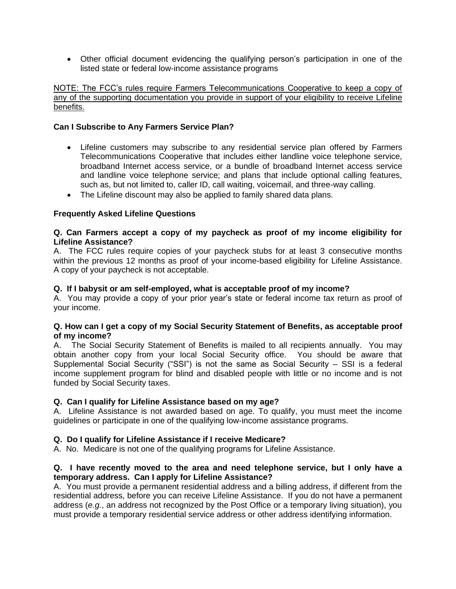• Other official document evidencing the qualifying person's participation in one of the listed state or federal low-income assistance programs

### NOTE: The FCC's rules require Farmers Telecommunications Cooperative to keep a copy of any of the supporting documentation you provide in support of your eligibility to receive Lifeline benefits.

### **Can I Subscribe to Any Farmers Service Plan?**

- Lifeline customers may subscribe to any residential service plan offered by Farmers Telecommunications Cooperative that includes either landline voice telephone service, broadband Internet access service, or a bundle of broadband Internet access service and landline voice telephone service; and plans that include optional calling features, such as, but not limited to, caller ID, call waiting, voicemail, and three-way calling.
- The Lifeline discount may also be applied to family shared data plans.

### **Frequently Asked Lifeline Questions**

### **Q. Can Farmers accept a copy of my paycheck as proof of my income eligibility for Lifeline Assistance?**

A. The FCC rules require copies of your paycheck stubs for at least 3 consecutive months within the previous 12 months as proof of your income-based eligibility for Lifeline Assistance. A copy of your paycheck is not acceptable.

#### **Q. If I babysit or am self-employed, what is acceptable proof of my income?**

A. You may provide a copy of your prior year's state or federal income tax return as proof of your income.

### **Q. How can I get a copy of my Social Security Statement of Benefits, as acceptable proof of my income?**

A. The Social Security Statement of Benefits is mailed to all recipients annually. You may obtain another copy from your local Social Security office. You should be aware that Supplemental Social Security ("SSI") is not the same as Social Security – SSI is a federal income supplement program for blind and disabled people with little or no income and is not funded by Social Security taxes.

#### **Q. Can I qualify for Lifeline Assistance based on my age?**

A. Lifeline Assistance is not awarded based on age. To qualify, you must meet the income guidelines or participate in one of the qualifying low-income assistance programs.

#### **Q. Do I qualify for Lifeline Assistance if I receive Medicare?**

A. No. Medicare is not one of the qualifying programs for Lifeline Assistance.

### **Q. I have recently moved to the area and need telephone service, but I only have a temporary address. Can I apply for Lifeline Assistance?**

A. You must provide a permanent residential address and a billing address, if different from the residential address, before you can receive Lifeline Assistance. If you do not have a permanent address (*e.g.*, an address not recognized by the Post Office or a temporary living situation), you must provide a temporary residential service address or other address identifying information.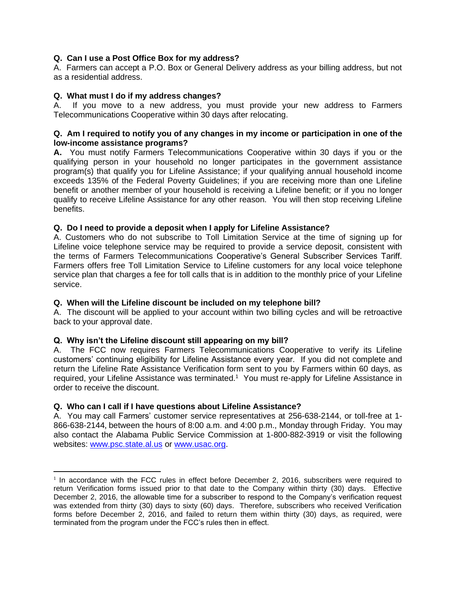# **Q. Can I use a Post Office Box for my address?**

A. Farmers can accept a P.O. Box or General Delivery address as your billing address, but not as a residential address.

### **Q. What must I do if my address changes?**

A.If you move to a new address, you must provide your new address to Farmers Telecommunications Cooperative within 30 days after relocating.

#### **Q. Am I required to notify you of any changes in my income or participation in one of the low-income assistance programs?**

**A.** You must notify Farmers Telecommunications Cooperative within 30 days if you or the qualifying person in your household no longer participates in the government assistance program(s) that qualify you for Lifeline Assistance; if your qualifying annual household income exceeds 135% of the Federal Poverty Guidelines; if you are receiving more than one Lifeline benefit or another member of your household is receiving a Lifeline benefit; or if you no longer qualify to receive Lifeline Assistance for any other reason. You will then stop receiving Lifeline benefits.

## **Q. Do I need to provide a deposit when I apply for Lifeline Assistance?**

A. Customers who do not subscribe to Toll Limitation Service at the time of signing up for Lifeline voice telephone service may be required to provide a service deposit, consistent with the terms of Farmers Telecommunications Cooperative's General Subscriber Services Tariff. Farmers offers free Toll Limitation Service to Lifeline customers for any local voice telephone service plan that charges a fee for toll calls that is in addition to the monthly price of your Lifeline service.

## **Q. When will the Lifeline discount be included on my telephone bill?**

A. The discount will be applied to your account within two billing cycles and will be retroactive back to your approval date.

## **Q. Why isn't the Lifeline discount still appearing on my bill?**

A. The FCC now requires Farmers Telecommunications Cooperative to verify its Lifeline customers' continuing eligibility for Lifeline Assistance every year. If you did not complete and return the Lifeline Rate Assistance Verification form sent to you by Farmers within 60 days, as required, your Lifeline Assistance was terminated.<sup>1</sup> You must re-apply for Lifeline Assistance in order to receive the discount.

#### **Q. Who can I call if I have questions about Lifeline Assistance?**

A. You may call Farmers' customer service representatives at 256-638-2144, or toll-free at 1- 866-638-2144, between the hours of 8:00 a.m. and 4:00 p.m., Monday through Friday. You may also contact the Alabama Public Service Commission at 1-800-882-3919 or visit the following websites: [www.psc.state.al.us](http://www.psc.state.al.us/) or [www.usac.org.](https://www.usac.org/)

<sup>&</sup>lt;sup>1</sup> In accordance with the FCC rules in effect before December 2, 2016, subscribers were required to return Verification forms issued prior to that date to the Company within thirty (30) days. Effective December 2, 2016, the allowable time for a subscriber to respond to the Company's verification request was extended from thirty (30) days to sixty (60) days. Therefore, subscribers who received Verification forms before December 2, 2016, and failed to return them within thirty (30) days, as required, were terminated from the program under the FCC's rules then in effect.